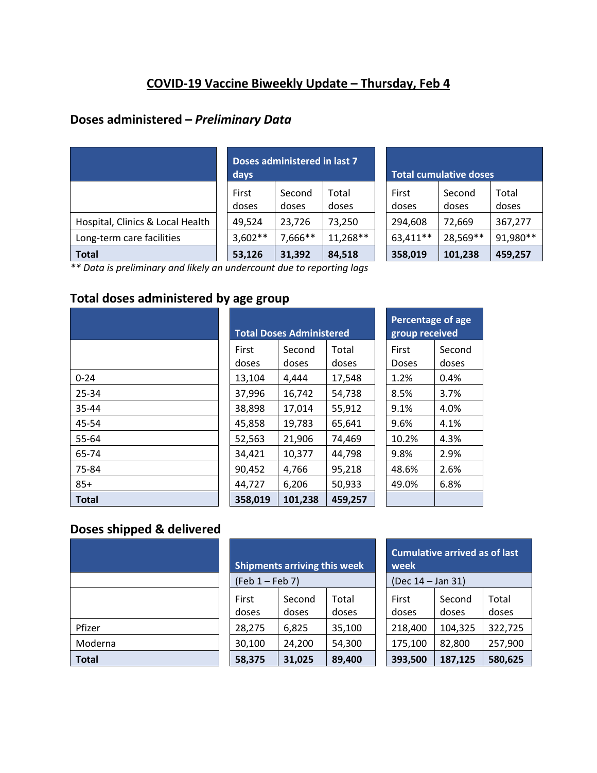# **COVID-19 Vaccine Biweekly Update – Thursday, Feb 4**

### **Doses administered –** *Preliminary Data*

|                                  | Doses administered in last 7<br>days |                 |                |  | <b>Total cumulative doses</b> |                 |                |
|----------------------------------|--------------------------------------|-----------------|----------------|--|-------------------------------|-----------------|----------------|
|                                  | First<br>doses                       | Second<br>doses | Total<br>doses |  | First<br>doses                | Second<br>doses | Total<br>doses |
| Hospital, Clinics & Local Health | 49,524                               | 23,726          | 73,250         |  | 294,608                       | 72,669          | 367,277        |
| Long-term care facilities        | $3,602**$                            | 7,666**         | $11,268**$     |  | 63,411**                      | 28,569**        | 91,980**       |
| Total                            | 53,126                               | 31,392          | 84,518         |  | 358,019                       | 101,238         | 459,257        |

| <b>Total cumulative doses</b> |                 |                |  |  |  |  |
|-------------------------------|-----------------|----------------|--|--|--|--|
| First<br>doses                | Second<br>doses | Total<br>doses |  |  |  |  |
| 294,608                       | 72,669          | 367,277        |  |  |  |  |
| 63,411**                      | 28,569**        | 91,980**       |  |  |  |  |
| 358,019                       | 101,238         | 459,257        |  |  |  |  |

*\*\* Data is preliminary and likely an undercount due to reporting lags* 

# **Total doses administered by age group**

|              | <b>Total Doses Administered</b> |                 |                |  | Percentage of a<br>group received |              |
|--------------|---------------------------------|-----------------|----------------|--|-----------------------------------|--------------|
|              | <b>First</b><br>doses           | Second<br>doses | Total<br>doses |  | First<br><b>Doses</b>             | Seco<br>dose |
| $0 - 24$     | 13,104                          | 4,444           | 17,548         |  | 1.2%                              | 0.4%         |
| 25-34        | 37,996                          | 16,742          | 54,738         |  | 8.5%                              | 3.7%         |
| 35-44        | 38,898                          | 17,014          | 55,912         |  | 9.1%                              | 4.0%         |
| 45-54        | 45,858                          | 19,783          | 65,641         |  | 9.6%                              | 4.1%         |
| 55-64        | 52,563                          | 21,906          | 74,469         |  | 10.2%                             | 4.3%         |
| 65-74        | 34,421                          | 10,377          | 44,798         |  | 9.8%                              | 2.9%         |
| 75-84        | 90,452                          | 4,766           | 95,218         |  | 48.6%                             | 2.6%         |
| $85+$        | 44,727                          | 6,206           | 50,933         |  | 49.0%                             | 6.8%         |
| <b>Total</b> | 358,019                         | 101,238         | 459,257        |  |                                   |              |

| <b>Total Doses Administered</b> |         |         |  |  |  |  |
|---------------------------------|---------|---------|--|--|--|--|
| First                           | Second  | Total   |  |  |  |  |
| doses                           | doses   | doses   |  |  |  |  |
| 13,104                          | 4,444   | 17,548  |  |  |  |  |
| 37,996                          | 16,742  | 54,738  |  |  |  |  |
| 38,898                          | 17,014  | 55,912  |  |  |  |  |
| 45,858                          | 19,783  | 65,641  |  |  |  |  |
| 52,563                          | 21,906  | 74,469  |  |  |  |  |
| 34,421                          | 10,377  | 44,798  |  |  |  |  |
| 90,452                          | 4,766   | 95,218  |  |  |  |  |
| 44,727                          | 6,206   | 50,933  |  |  |  |  |
| 358,019                         | 101,238 | 459,257 |  |  |  |  |

| <b>Percentage of age</b><br>group received |        |  |  |  |
|--------------------------------------------|--------|--|--|--|
| First                                      | Second |  |  |  |
| Doses                                      | doses  |  |  |  |
| 1.2%                                       | 0.4%   |  |  |  |
| 8.5%                                       | 3.7%   |  |  |  |
| 9.1%                                       | 4.0%   |  |  |  |
| 9.6%                                       | 4.1%   |  |  |  |
| 10.2%                                      | 4.3%   |  |  |  |
| 9.8%                                       | 2.9%   |  |  |  |
| 48.6%                                      | 2.6%   |  |  |  |
| 49.0%                                      | 6.8%   |  |  |  |
|                                            |        |  |  |  |

# **Doses shipped & delivered**

|         |                | <b>Shipments arriving this week</b> |                | <b>Cumulative arrived as of last</b><br>week |                   |                |  |
|---------|----------------|-------------------------------------|----------------|----------------------------------------------|-------------------|----------------|--|
|         |                | $(Feb 1 - Feb 7)$                   |                |                                              | (Dec 14 - Jan 31) |                |  |
|         | First<br>doses | Second<br>doses                     | Total<br>doses | First<br>doses                               | Second<br>doses   | Total<br>doses |  |
| Pfizer  | 28,275         | 6,825                               | 35,100         | 218,400                                      | 104,325           | 322,725        |  |
| Moderna | 30,100         | 24,200                              | 54,300         | 175,100                                      | 82,800            | 257,900        |  |
| Total   | 58,375         | 31,025                              | 89,400         | 393,500                                      | 187,125           | 580,625        |  |

| <b>Cumulative arrived as of last</b><br>week |                 |                |  |  |  |
|----------------------------------------------|-----------------|----------------|--|--|--|
| (Dec 14 - Jan 31)                            |                 |                |  |  |  |
| First<br>doses                               | Second<br>doses | Total<br>doses |  |  |  |
| 218,400                                      | 104,325         | 322,725        |  |  |  |
| 175,100                                      | 82,800          | 257,900        |  |  |  |
| 393.500                                      | 187,125         | 580,625        |  |  |  |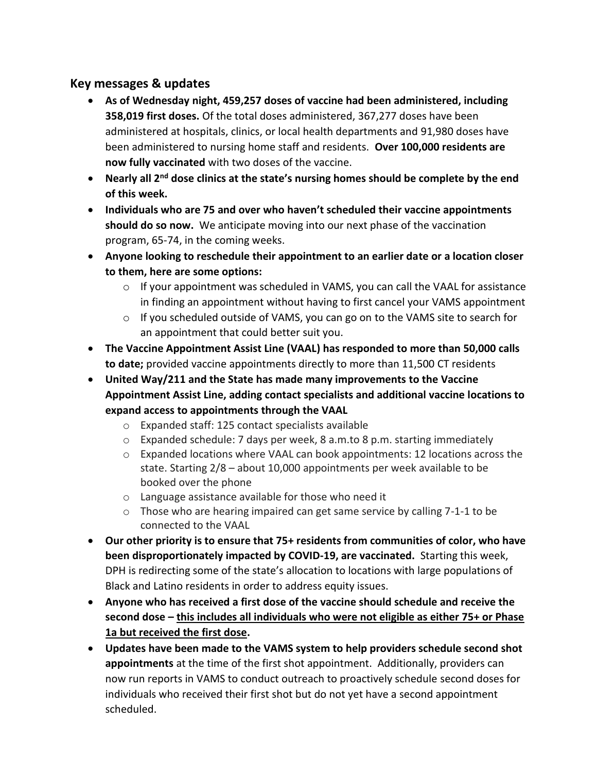### **Key messages & updates**

- **As of Wednesday night, 459,257 doses of vaccine had been administered, including 358,019 first doses.** Of the total doses administered, 367,277 doses have been administered at hospitals, clinics, or local health departments and 91,980 doses have been administered to nursing home staff and residents. **Over 100,000 residents are now fully vaccinated** with two doses of the vaccine.
- **Nearly all 2nd dose clinics at the state's nursing homes should be complete by the end of this week.**
- **Individuals who are 75 and over who haven't scheduled their vaccine appointments should do so now.** We anticipate moving into our next phase of the vaccination program, 65-74, in the coming weeks.
- **Anyone looking to reschedule their appointment to an earlier date or a location closer to them, here are some options:**
	- $\circ$  If your appointment was scheduled in VAMS, you can call the VAAL for assistance in finding an appointment without having to first cancel your VAMS appointment
	- $\circ$  If you scheduled outside of VAMS, you can go on to the VAMS site to search for an appointment that could better suit you.
- **The Vaccine Appointment Assist Line (VAAL) has responded to more than 50,000 calls to date;** provided vaccine appointments directly to more than 11,500 CT residents
- **United Way/211 and the State has made many improvements to the Vaccine Appointment Assist Line, adding contact specialists and additional vaccine locations to expand access to appointments through the VAAL**
	- o Expanded staff: 125 contact specialists available
	- o Expanded schedule: 7 days per week, 8 a.m.to 8 p.m. starting immediately
	- o Expanded locations where VAAL can book appointments: 12 locations across the state. Starting 2/8 – about 10,000 appointments per week available to be booked over the phone
	- o Language assistance available for those who need it
	- o Those who are hearing impaired can get same service by calling 7-1-1 to be connected to the VAAL
- **Our other priority is to ensure that 75+ residents from communities of color, who have been disproportionately impacted by COVID-19, are vaccinated.** Starting this week, DPH is redirecting some of the state's allocation to locations with large populations of Black and Latino residents in order to address equity issues.
- **Anyone who has received a first dose of the vaccine should schedule and receive the second dose – this includes all individuals who were not eligible as either 75+ or Phase 1a but received the first dose.**
- **Updates have been made to the VAMS system to help providers schedule second shot appointments** at the time of the first shot appointment. Additionally, providers can now run reports in VAMS to conduct outreach to proactively schedule second doses for individuals who received their first shot but do not yet have a second appointment scheduled.